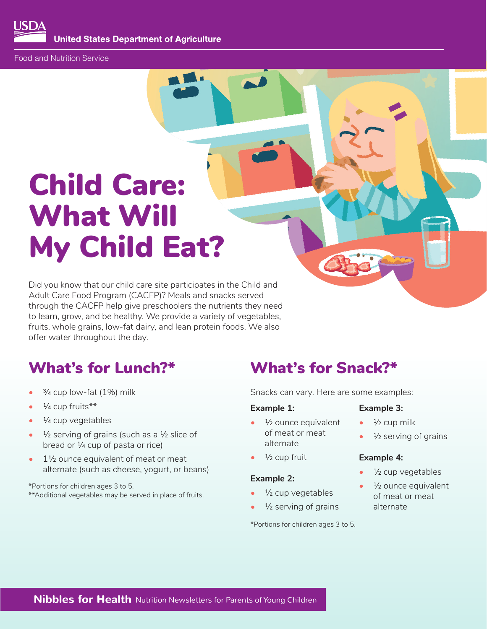**United States Department of Agriculture** 

Food and Nutrition Service

# Child Care: What Will My Child Eat?

Did you know that our child care site participates in the Child and Adult Care Food Program (CACFP)? Meals and snacks served through the CACFP help give preschoolers the nutrients they need to learn, grow, and be healthy. We provide a variety of vegetables, fruits, whole grains, low-fat dairy, and lean protein foods. We also offer water throughout the day.

- 
- ¼ cup fruits\*\* **Example 1: Example 3:**
- 
- <sup> $1/2$ </sup> serving of grains (such as a  $1/2$  slice of of meat or meat  $1/2$  serving of grains broad or  $1/4$  cup of pasta or rice) bread or  $\frac{1}{4}$  cup of pasta or rice)
- 1½ ounce equivalent of meat or meat ½ cup fruit **Example 4:**  alternate (such as cheese, yogurt, or beans) • ½ cup vegetables **Example 2:**

\*Portions for children ages 3 to 5.<br>\*\*Additional vegetables may be served in place of fruits.  $\bullet \quad \frac{1}{2}$  Cup vegetables \*\*Additional vegetables may be served in place of fruits. • • • • 42 CUP Vegetables of meat or meat or meat

### What's for Lunch?\* What's for Snack?\*

<sup>3</sup>/4 cup low-fat (1%) milk **Shacks can vary. Here are some examples:** 

- $\frac{1}{4}$  cup vegetables  $\frac{1}{2}$  ounce equivalent  $\frac{1}{2}$  cup milk
	-

- 
- $\frac{1}{2}$  serving of grains alternate

\*Portions for children ages 3 to 5.

- 
- 

- 
- 

**Nibbles for Health** Nutrition Newsletters for Parents of Young Children